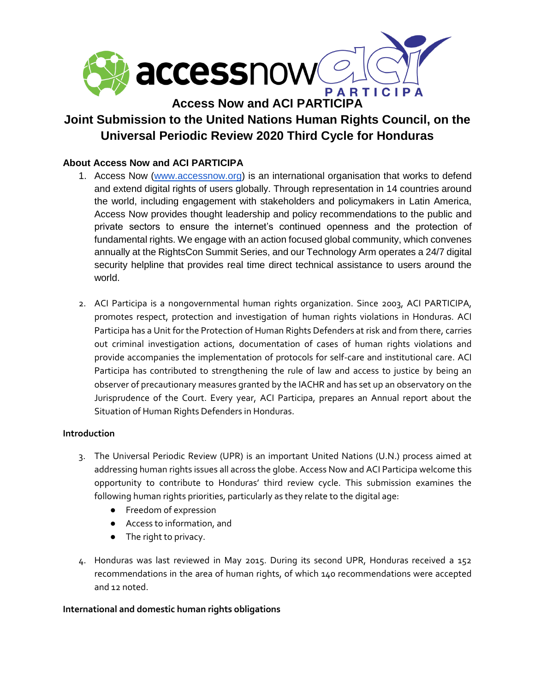

# **Joint Submission to the United Nations Human Rights Council, on the Universal Periodic Review 2020 Third Cycle for Honduras**

## **About Access Now and ACI PARTICIPA**

- 1. Access Now [\(www.accessnow.org\)](http://www.accessnow.org/) is an international organisation that works to defend and extend digital rights of users globally. Through representation in 14 countries around the world, including engagement with stakeholders and policymakers in Latin America, Access Now provides thought leadership and policy recommendations to the public and private sectors to ensure the internet's continued openness and the protection of fundamental rights. We engage with an action focused global community, which convenes annually at the RightsCon Summit Series, and our Technology Arm operates a 24/7 digital security helpline that provides real time direct technical assistance to users around the world.
- 2. ACI Participa is a nongovernmental human rights organization. Since 2003, ACI PARTICIPA, promotes respect, protection and investigation of human rights violations in Honduras. ACI Participa has a Unit for the Protection of Human Rights Defenders at risk and from there, carries out criminal investigation actions, documentation of cases of human rights violations and provide accompanies the implementation of protocols for self-care and institutional care. ACI Participa has contributed to strengthening the rule of law and access to justice by being an observer of precautionary measures granted by the IACHR and has set up an observatory on the Jurisprudence of the Court. Every year, ACI Participa, prepares an Annual report about the Situation of Human Rights Defenders in Honduras.

#### **Introduction**

- 3. The Universal Periodic Review (UPR) is an important United Nations (U.N.) process aimed at addressing human rights issues all across the globe. Access Now and ACI Participa welcome this opportunity to contribute to Honduras' third review cycle. This submission examines the following human rights priorities, particularly as they relate to the digital age:
	- Freedom of expression
	- Access to information, and
	- The right to privacy.
- 4. Honduras was last reviewed in May 2015. During its second UPR, Honduras received a 152 recommendations in the area of human rights, of which 140 recommendations were accepted and 12 noted.

#### **International and domestic human rights obligations**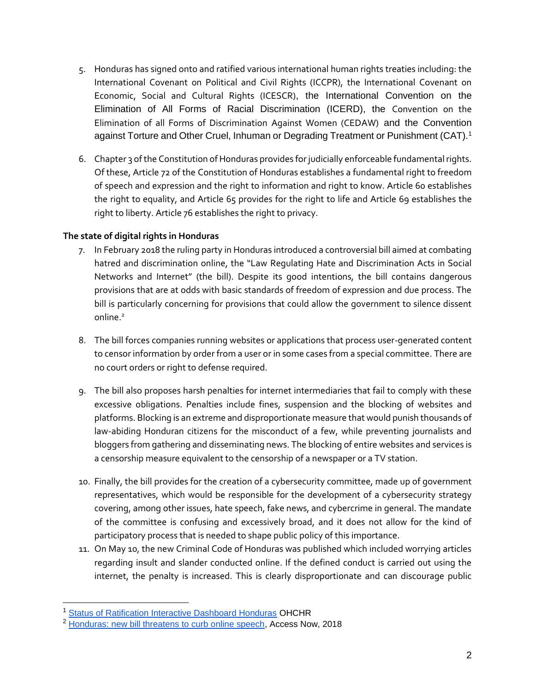- 5. Honduras has signed onto and ratified various international human rights treaties including: the International Covenant on Political and Civil Rights (ICCPR), the International Covenant on Economic, Social and Cultural Rights (ICESCR), the International Convention on the Elimination of All Forms of Racial Discrimination (ICERD), the Convention on the Elimination of all Forms of Discrimination Against Women (CEDAW) and the Convention against Torture and Other Cruel, Inhuman or Degrading Treatment or Punishment (CAT).<sup>1</sup>
- 6. Chapter 3 of the Constitution of Honduras provides for judicially enforceable fundamental rights. Of these, Article 72 of the Constitution of Honduras establishes a fundamental right to freedom of speech and expression and the right to information and right to know. Article 60 establishes the right to equality, and Article 65 provides for the right to life and Article 69 establishes the right to liberty. Article 76 establishes the right to privacy.

### **The state of digital rights in Honduras**

- 7. In February 2018 the ruling party in Honduras introduced a controversial bill aimed at combating hatred and discrimination online, the "Law Regulating Hate and Discrimination Acts in Social Networks and Internet" (the bill). Despite its good intentions, the bill contains dangerous provisions that are at odds with basic standards of freedom of expression and due process. The bill is particularly concerning for provisions that could allow the government to silence dissent online.<sup>2</sup>
- 8. The bill forces companies running websites or applications that process user-generated content to censor information by order from a user or in some cases from a special committee. There are no court orders or right to defense required.
- 9. The bill also proposes harsh penalties for internet intermediaries that fail to comply with these excessive obligations. Penalties include fines, suspension and the blocking of websites and platforms. Blocking is an extreme and disproportionate measure that would punish thousands of law-abiding Honduran citizens for the misconduct of a few, while preventing journalists and bloggers from gathering and disseminating news. The blocking of entire websites and services is a censorship measure [equivalent to the censorship](http://www.eods.eu/library/IACHR.Freedom%20of%20Expression%20and%20the%20Internet.pdf) of a newspaper or a TV station.
- 10. Finally, the bill provides for the creation of a cybersecurity committee, made up of government representatives, which would be responsible for the development of a cybersecurity strategy covering, among other issues, hate speech, fake news, and cybercrime in general. The mandate of the committee is confusing and excessively broad, and it does not allow for the kind of participatory process that is needed to shape public policy of this importance.
- 11. On May 10, the new Criminal Code of Honduras was published which included worrying articles regarding insult and slander conducted online. If the defined conduct is carried out using the internet, the penalty is increased. This is clearly disproportionate and can discourage public

<sup>&</sup>lt;sup>1</sup> [Status of Ratification Interactive Dashboard Honduras](https://indicators.ohchr.org/) OHCHR

<sup>&</sup>lt;sup>2</sup> [Honduras: new bill threatens to curb online speech,](https://www.accessnow.org/honduras-new-bill-threatens-curb-online-speech/) Access Now, 2018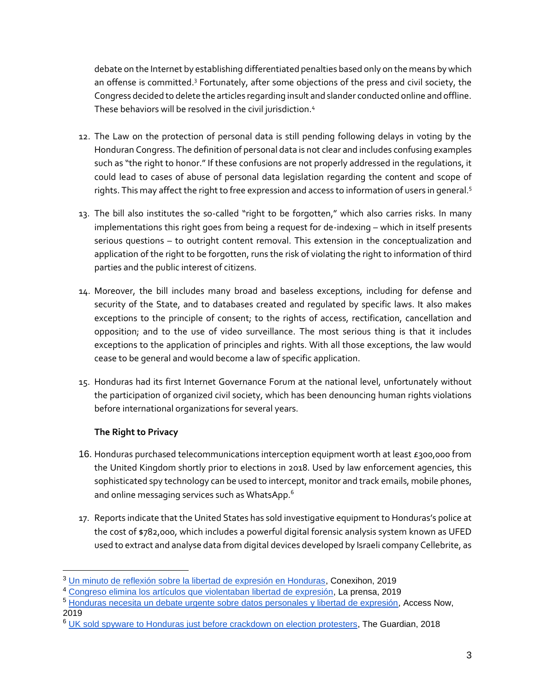debate on the Internet by establishing differentiated penalties based only on the means by which an offense is committed.<sup>3</sup> Fortunately, after some objections of the press and civil society, the Congress decided to delete the articles regarding insult and slander conducted online and offline. These behaviors will be resolved in the civil jurisdiction.<sup>4</sup>

- 12. The Law on the protection of personal data is still pending following delays in voting by the Honduran Congress. The definition of personal data is not clear and includes confusing examples such as "the right to honor." If these confusions are not properly addressed in the regulations, it could lead to cases of abuse of personal data legislation regarding the content and scope of rights. This may affect the right to free expression and access to information of users in general.<sup>5</sup>
- 13. The bill also institutes the so-called "right to be forgotten," which also carries risks. In many implementations this right goes from being a request for de-indexing – which in itself presents serious questions – to outright content removal. This extension in the conceptualization and application of the right to be forgotten, runs the risk of violating the right to information of third parties and the public interest of citizens.
- 14. Moreover, the bill includes many broad and baseless exceptions, including for defense and security of the State, and to databases created and regulated by specific laws. It also makes exceptions to the principle of consent; to the rights of access, rectification, cancellation and opposition; and to the use of video surveillance. The most serious thing is that it includes exceptions to the application of principles and rights. With all those exceptions, the law would cease to be general and would become a law of specific application.
- 15. Honduras had its first Internet Governance Forum at the national level, unfortunately without the participation of organized civil society, which has been denouncing human rights violations before international organizations for several years.

## **The Right to Privacy**

- 16. Honduras purchased telecommunications interception equipment worth at least  $\epsilon$ 300,000 from the United Kingdom shortly prior to elections in 2018. Used by law enforcement agencies, this sophisticated spy technology can be used to intercept, monitor and track emails, mobile phones, and online messaging services such as WhatsApp.<sup>6</sup>
- 17. Reports indicate that the United States has sold investigative equipment to Honduras's police at the cost of \$782,000, which includes [a powerful](https://web.archive.org/web/20190716015838/https:/privacyinternational.org/taxonomy/term/584) digital forensic analysis system known as UFED used to extract and analyse data from digital devices developed by Israeli company Cellebrite, as

<sup>&</sup>lt;sup>3</sup> [Un minuto de reflexión sobre la libertad de expresión en Honduras,](http://conexihon.hn/index.php/opiniones/1081-un-minuto-de-reflexion-sobre-la-libertad-de-expresion-en-honduras) Conexihon, 2019

<sup>4</sup> [Congreso elimina los artículos que violentaban libertad de expresión,](https://www.laprensa.hn/honduras/1314332-410/congreso-nacional-eliminara-delitos-injuria-calumnia-nuevo-codigo-penal-honduras-) La prensa, 2019

<sup>5</sup> [Honduras necesita un debate urgente sobre datos personales y libertad de expresión,](https://www.accessnow.org/honduras-igf/) Access Now, 2019

<sup>&</sup>lt;sup>6</sup> [UK sold spyware to Honduras just before crackdown on election protesters,](https://www.theguardian.com/world/2018/feb/08/uk-sold-spyware-to-honduras-just-before-crackdown-on-election-protesters) The Guardian, 2018